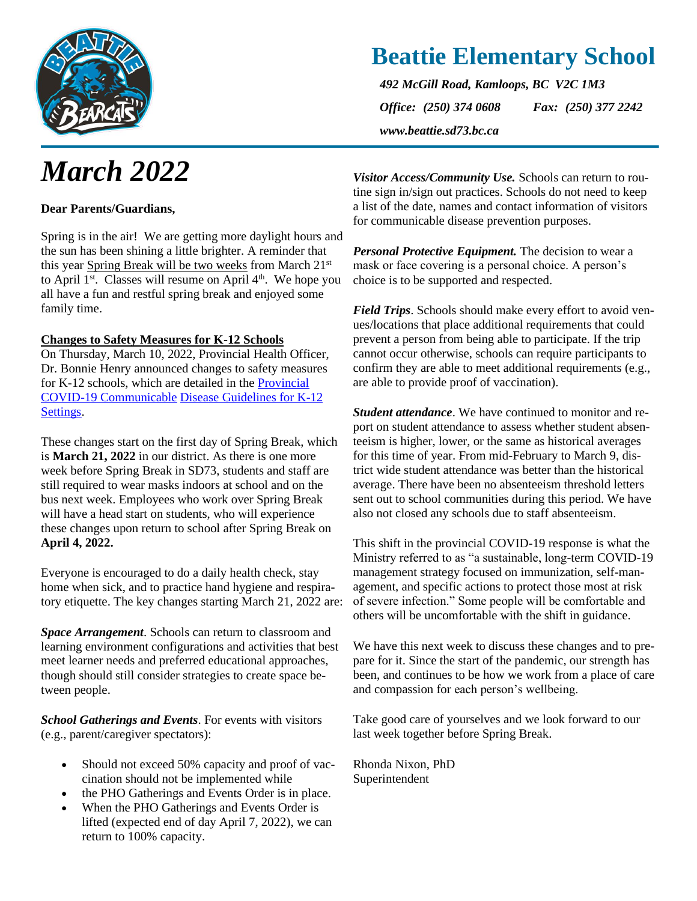

# *March 2022*

#### **Dear Parents/Guardians,**

Spring is in the air! We are getting more daylight hours and the sun has been shining a little brighter. A reminder that this year Spring Break will be two weeks from March 21<sup>st</sup> to April  $1<sup>st</sup>$ . Classes will resume on April  $4<sup>th</sup>$ . We hope you all have a fun and restful spring break and enjoyed some family time.

#### **Changes to Safety Measures for K-12 Schools**

On Thursday, March 10, 2022, Provincial Health Officer, Dr. Bonnie Henry announced changes to safety measures for K-12 schools, which are detailed in the [Provincial](https://www2.gov.bc.ca/assets/gov/education/administration/kindergarten-to-grade-12/safe-caring-orderly/k-12-covid-19-health-safety-guidlines.pdf)  [COVID-19 Communicable](https://www2.gov.bc.ca/assets/gov/education/administration/kindergarten-to-grade-12/safe-caring-orderly/k-12-covid-19-health-safety-guidlines.pdf) [Disease Guidelines for K-12](https://www2.gov.bc.ca/assets/gov/education/administration/kindergarten-to-grade-12/safe-caring-orderly/k-12-covid-19-health-safety-guidlines.pdf)  [Settings.](https://www2.gov.bc.ca/assets/gov/education/administration/kindergarten-to-grade-12/safe-caring-orderly/k-12-covid-19-health-safety-guidlines.pdf)

These changes start on the first day of Spring Break, which is **March 21, 2022** in our district. As there is one more week before Spring Break in SD73, students and staff are still required to wear masks indoors at school and on the bus next week. Employees who work over Spring Break will have a head start on students, who will experience these changes upon return to school after Spring Break on **April 4, 2022.**

Everyone is encouraged to do a daily health check, stay home when sick, and to practice hand hygiene and respiratory etiquette. The key changes starting March 21, 2022 are:

*Space Arrangement*. Schools can return to classroom and learning environment configurations and activities that best meet learner needs and preferred educational approaches, though should still consider strategies to create space between people.

*School Gatherings and Events*. For events with visitors (e.g., parent/caregiver spectators):

- Should not exceed 50% capacity and proof of vaccination should not be implemented while
- the PHO Gatherings and Events Order is in place.
- When the PHO Gatherings and Events Order is lifted (expected end of day April 7, 2022), we can return to 100% capacity.

*Visitor Access/Community Use.* Schools can return to routine sign in/sign out practices. Schools do not need to keep a list of the date, names and contact information of visitors for communicable disease prevention purposes.

*Personal Protective Equipment.* The decision to wear a mask or face covering is a personal choice. A person's choice is to be supported and respected.

*Field Trips*. Schools should make every effort to avoid venues/locations that place additional requirements that could prevent a person from being able to participate. If the trip cannot occur otherwise, schools can require participants to confirm they are able to meet additional requirements (e.g., are able to provide proof of vaccination).

*Student attendance*. We have continued to monitor and report on student attendance to assess whether student absenteeism is higher, lower, or the same as historical averages for this time of year. From mid-February to March 9, district wide student attendance was better than the historical average. There have been no absenteeism threshold letters sent out to school communities during this period. We have also not closed any schools due to staff absenteeism.

This shift in the provincial COVID-19 response is what the Ministry referred to as "a sustainable, long-term COVID-19 management strategy focused on immunization, self-management, and specific actions to protect those most at risk of severe infection." Some people will be comfortable and others will be uncomfortable with the shift in guidance.

We have this next week to discuss these changes and to prepare for it. Since the start of the pandemic, our strength has been, and continues to be how we work from a place of care and compassion for each person's wellbeing.

Take good care of yourselves and we look forward to our last week together before Spring Break.

Rhonda Nixon, PhD Superintendent

## **Beattie Elementary School**

*492 McGill Road, Kamloops, BC V2C 1M3 Office: (250) 374 0608 Fax: (250) 377 2242 www.beattie.sd73.bc.ca*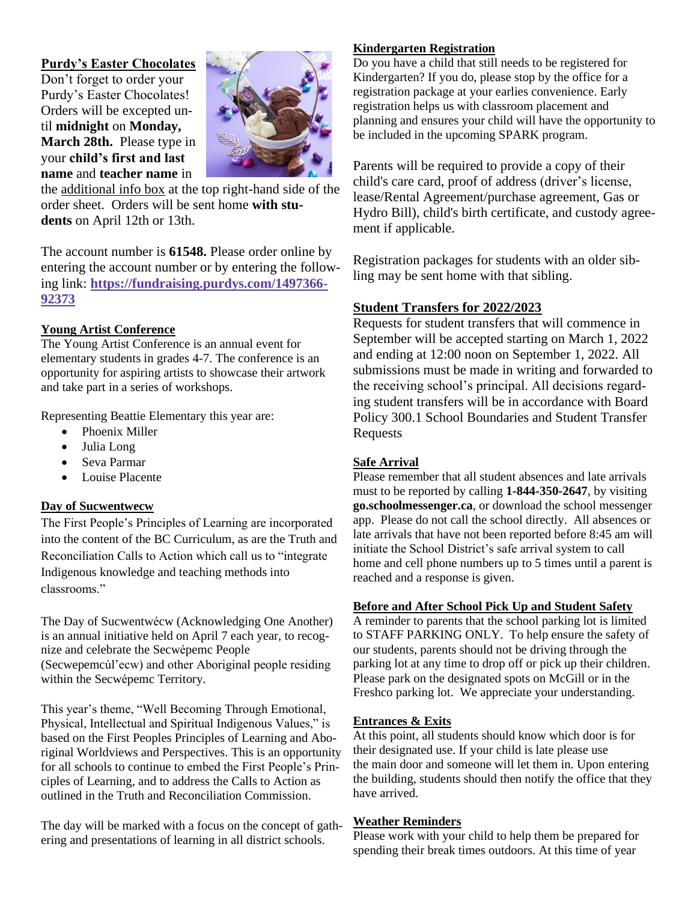#### **Purdy's Easter Chocolates**

Don't forget to order your Purdy's Easter Chocolates! Orders will be excepted until **midnight** on **Monday, March 28th.** Please type in your **child's first and last name** and **teacher name** in



the additional info box at the top right-hand side of the order sheet. Orders will be sent home **with students** on April 12th or 13th.

The account number is **61548.** Please order online by entering the account number or by entering the following link: **[https://fundraising.purdys.com/1497366-](https://fundraising.purdys.com/1497366-92373) [92373](https://fundraising.purdys.com/1497366-92373)**

#### **Young Artist Conference**

The Young Artist Conference is an annual event for elementary students in grades 4-7. The conference is an opportunity for aspiring artists to showcase their artwork and take part in a series of workshops.

Representing Beattie Elementary this year are:

- Phoenix Miller
- Julia Long
- Seva Parmar
- Louise Placente

#### **Day of Sucwentwecw**

The First People's Principles of Learning are incorporated into the content of the BC Curriculum, as are the Truth and Reconciliation Calls to Action which call us to "integrate Indigenous knowledge and teaching methods into classrooms."

The Day of Sucwentwécw (Acknowledging One Another) is an annual initiative held on April 7 each year, to recognize and celebrate the Secwépemc People (Secwepemcúl'ecw) and other Aboriginal people residing within the Secwépemc Territory.

This year's theme, "Well Becoming Through Emotional, Physical, Intellectual and Spiritual Indigenous Values," is based on the First Peoples Principles of Learning and Aboriginal Worldviews and Perspectives. This is an opportunity for all schools to continue to embed the First People's Principles of Learning, and to address the Calls to Action as outlined in the Truth and Reconciliation Commission.

The day will be marked with a focus on the concept of gathering and presentations of learning in all district schools.

#### **Kindergarten Registration**

Do you have a child that still needs to be registered for Kindergarten? If you do, please stop by the office for a registration package at your earlies convenience. Early registration helps us with classroom placement and planning and ensures your child will have the opportunity to be included in the upcoming SPARK program.

Parents will be required to provide a copy of their child's care card, proof of address (driver's license, lease/Rental Agreement/purchase agreement, Gas or Hydro Bill), child's birth certificate, and custody agreement if applicable.

Registration packages for students with an older sibling may be sent home with that sibling.

#### **Student Transfers for 2022/2023**

Requests for student transfers that will commence in September will be accepted starting on March 1, 2022 and ending at 12:00 noon on September 1, 2022. All submissions must be made in writing and forwarded to the receiving school's principal. All decisions regarding student transfers will be in accordance with Board Policy 300.1 School Boundaries and Student Transfer Requests

#### **Safe Arrival**

Please remember that all student absences and late arrivals must to be reported by calling **1-844-350-2647**, by visiting **go.schoolmessenger.ca**, or download the school messenger app. Please do not call the school directly. All absences or late arrivals that have not been reported before 8:45 am will initiate the School District's safe arrival system to call home and cell phone numbers up to 5 times until a parent is reached and a response is given.

#### **Before and After School Pick Up and Student Safety**

A reminder to parents that the school parking lot is limited to STAFF PARKING ONLY. To help ensure the safety of our students, parents should not be driving through the parking lot at any time to drop off or pick up their children. Please park on the designated spots on McGill or in the Freshco parking lot. We appreciate your understanding.

#### **Entrances & Exits**

At this point, all students should know which door is for their designated use. If your child is late please use the main door and someone will let them in. Upon entering the building, students should then notify the office that they have arrived.

#### **Weather Reminders**

Please work with your child to help them be prepared for spending their break times outdoors. At this time of year